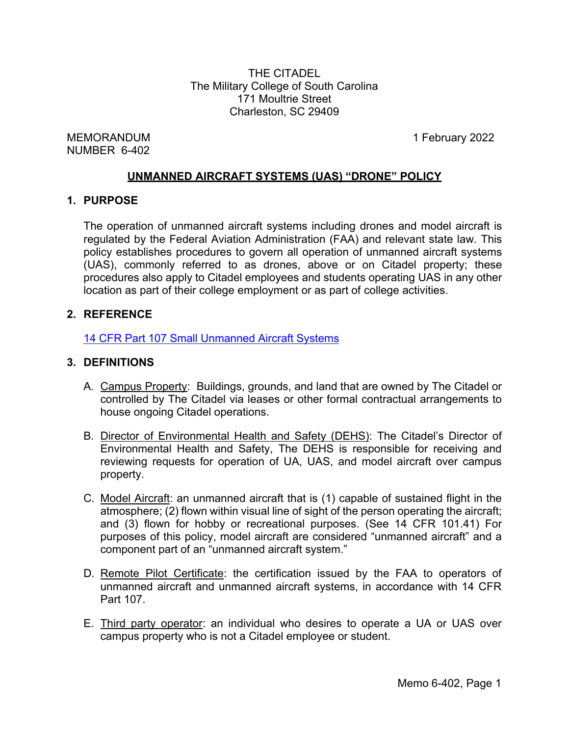THE CITADEL The Military College of South Carolina 171 Moultrie Street Charleston, SC 29409

MEMORANDUM 1 February 2022 NUMBER 6-402

## **UNMANNED AIRCRAFT SYSTEMS (UAS) "DRONE" POLICY**

## **1. PURPOSE**

The operation of unmanned aircraft systems including drones and model aircraft is regulated by the Federal Aviation Administration (FAA) and relevant state law. This policy establishes procedures to govern all operation of unmanned aircraft systems (UAS), commonly referred to as drones, above or on Citadel property; these procedures also apply to Citadel employees and students operating UAS in any other location as part of their college employment or as part of college activities.

# **2. REFERENCE**

14 CFR Part 107 Small [Unmanned](https://ecfr.io/Title-14/cfr107_main) Aircraft Systems

## **3. DEFINITIONS**

- A. Campus Property: Buildings, grounds, and land that are owned by The Citadel or controlled by The Citadel via leases or other formal contractual arrangements to house ongoing Citadel operations.
- B. Director of Environmental Health and Safety (DEHS): The Citadel's Director of Environmental Health and Safety, The DEHS is responsible for receiving and reviewing requests for operation of UA, UAS, and model aircraft over campus property.
- C. Model Aircraft: an unmanned aircraft that is (1) capable of sustained flight in the atmosphere; (2) flown within visual line of sight of the person operating the aircraft; and (3) flown for hobby or recreational purposes. (See 14 CFR 101.41) For purposes of this policy, model aircraft are considered "unmanned aircraft" and a component part of an "unmanned aircraft system."
- D. Remote Pilot Certificate: the certification issued by the FAA to operators of unmanned aircraft and unmanned aircraft systems, in accordance with 14 CFR Part 107.
- E. Third party operator: an individual who desires to operate a UA or UAS over campus property who is not a Citadel employee or student.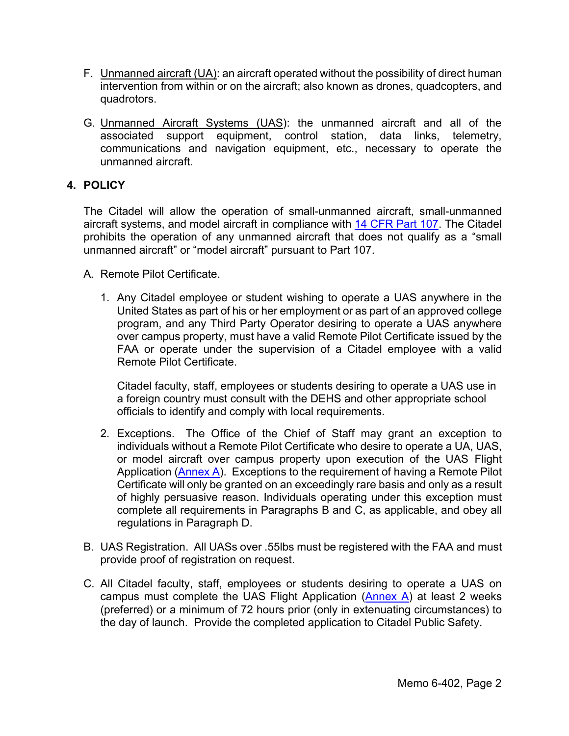- F. Unmanned aircraft (UA): an aircraft operated without the possibility of direct human intervention from within or on the aircraft; also known as drones, quadcopters, and quadrotors.
- G. Unmanned Aircraft Systems (UAS): the unmanned aircraft and all of the associated support equipment, control station, data links, telemetry, communications and navigation equipment, etc., necessary to operate the unmanned aircraft.

# **4. POLICY**

The Citadel will allow the operation of small-unmanned aircraft, small-unmanned aircraft systems, and model aircraft in compliance with [14 CFR Part 107.](https://ecfr.io/Title-14/cfr107_main) The Citadel prohibits the operation of any unmanned aircraft that does not qualify as a "small unmanned aircraft" or "model aircraft" pursuant to Part 107.

- A. Remote Pilot Certificate.
	- 1. Any Citadel employee or student wishing to operate a UAS anywhere in the United States as part of his or her employment or as part of an approved college program, and any Third Party Operator desiring to operate a UAS anywhere over campus property, must have a valid Remote Pilot Certificate issued by the FAA or operate under the supervision of a Citadel employee with a valid Remote Pilot Certificate.

Citadel faculty, staff, employees or students desiring to operate a UAS use in a foreign country must consult with the DEHS and other appropriate school officials to identify and comply with local requirements.

- 2. Exceptions. The Office of the Chief of Staff may grant an exception to individuals without a Remote Pilot Certificate who desire to operate a UA, UAS, or model aircraft over campus property upon execution of the UAS Flight Application [\(Annex](http://www.citadel.edu/root/images/policies/unmanned-aircraft-systems-annex-a.pdf) A). Exceptions to the requirement of having a Remote Pilot Certificate will only be granted on an exceedingly rare basis and only as a result of highly persuasive reason. Individuals operating under this exception must complete all requirements in Paragraphs B and C, as applicable, and obey all regulations in Paragraph D.
- B. UAS Registration. All UASs over .55lbs must be registered with the FAA and must provide proof of registration on request.
- C. All Citadel faculty, staff, employees or students desiring to operate a UAS on campus must complete the UAS Flight Application  $(An)$  at least 2 weeks (preferred) or a minimum of 72 hours prior (only in extenuating circumstances) to the day of launch. Provide the completed application to Citadel Public Safety.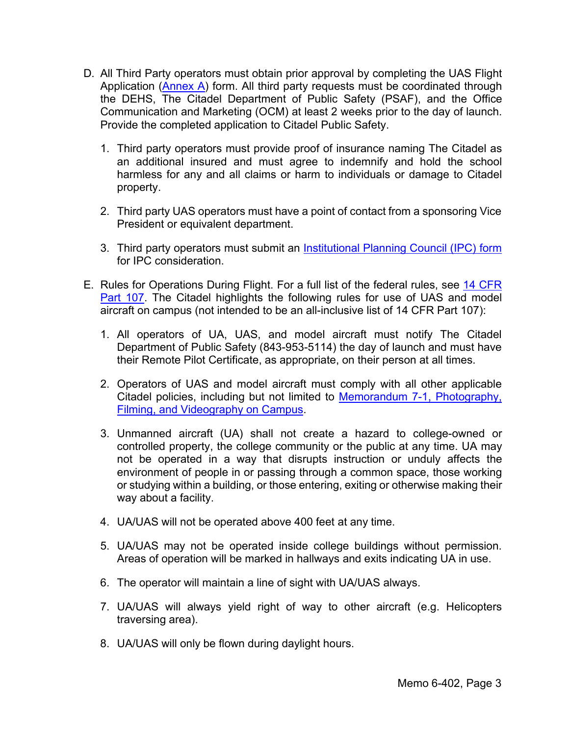- D. All Third Party operators must obtain prior approval by completing the UAS Flight Application [\(Annex A\)](http://www.citadel.edu/root/images/policies/unmanned-aircraft-systems-annex-a.pdf) form. All third party requests must be coordinated through the DEHS, The Citadel Department of Public Safety (PSAF), and the Office Communication and Marketing (OCM) at least 2 weeks prior to the day of launch. Provide the completed application to Citadel Public Safety.
	- 1. Third party operators must provide proof of insurance naming The Citadel as an additional insured and must agree to indemnify and hold the school harmless for any and all claims or harm to individuals or damage to Citadel property.
	- 2. Third party UAS operators must have a point of contact from a sponsoring Vice President or equivalent department.
	- 3. Third party operators must submit an [Institutional Planning Council \(IPC\) form](http://www.my.citadel.edu/root/ipc-form) for IPC consideration.
- E. Rules for Operations During Flight. For a full list of the federal rules, see [14 CFR](https://ecfr.io/Title-14/cfr107_main) [Part 107.](https://ecfr.io/Title-14/cfr107_main) The Citadel highlights the following rules for use of UAS and model aircraft on campus (not intended to be an all-inclusive list of 14 CFR Part 107):
	- 1. All operators of UA, UAS, and model aircraft must notify The Citadel Department of Public Safety (843-953-5114) the day of launch and must have their Remote Pilot Certificate, as appropriate, on their person at all times.
	- 2. Operators of UAS and model aircraft must comply with all other applicable Citadel policies, including but not limited to [Memorandum 7-1, Photography,](http://www.citadel.edu/root/images/policies/photography-filming-and-videography-on-campus.pdf) Filming, and [Videography](http://www.citadel.edu/root/images/policies/photography-filming-and-videography-on-campus.pdf) on Campus.
	- 3. Unmanned aircraft (UA) shall not create a hazard to college-owned or controlled property, the college community or the public at any time. UA may not be operated in a way that disrupts instruction or unduly affects the environment of people in or passing through a common space, those working or studying within a building, or those entering, exiting or otherwise making their way about a facility.
	- 4. UA/UAS will not be operated above 400 feet at any time.
	- 5. UA/UAS may not be operated inside college buildings without permission. Areas of operation will be marked in hallways and exits indicating UA in use.
	- 6. The operator will maintain a line of sight with UA/UAS always.
	- 7. UA/UAS will always yield right of way to other aircraft (e.g. Helicopters traversing area).
	- 8. UA/UAS will only be flown during daylight hours.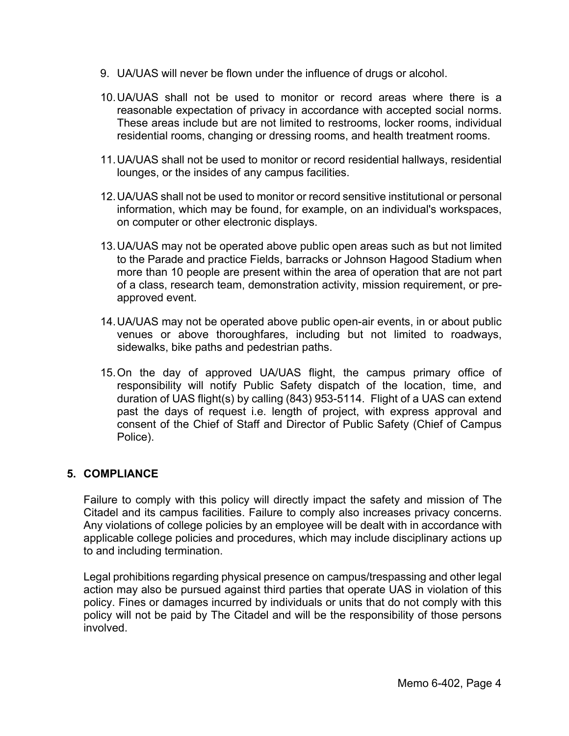- 9. UA/UAS will never be flown under the influence of drugs or alcohol.
- 10.UA/UAS shall not be used to monitor or record areas where there is a reasonable expectation of privacy in accordance with accepted social norms. These areas include but are not limited to restrooms, locker rooms, individual residential rooms, changing or dressing rooms, and health treatment rooms.
- 11.UA/UAS shall not be used to monitor or record residential hallways, residential lounges, or the insides of any campus facilities.
- 12.UA/UAS shall not be used to monitor or record sensitive institutional or personal information, which may be found, for example, on an individual's workspaces, on computer or other electronic displays.
- 13.UA/UAS may not be operated above public open areas such as but not limited to the Parade and practice Fields, barracks or Johnson Hagood Stadium when more than 10 people are present within the area of operation that are not part of a class, research team, demonstration activity, mission requirement, or preapproved event.
- 14.UA/UAS may not be operated above public open-air events, in or about public venues or above thoroughfares, including but not limited to roadways, sidewalks, bike paths and pedestrian paths.
- 15.On the day of approved UA/UAS flight, the campus primary office of responsibility will notify Public Safety dispatch of the location, time, and duration of UAS flight(s) by calling (843) 953-5114. Flight of a UAS can extend past the days of request i.e. length of project, with express approval and consent of the Chief of Staff and Director of Public Safety (Chief of Campus Police).

## **5. COMPLIANCE**

Failure to comply with this policy will directly impact the safety and mission of The Citadel and its campus facilities. Failure to comply also increases privacy concerns. Any violations of college policies by an employee will be dealt with in accordance with applicable college policies and procedures, which may include disciplinary actions up to and including termination.

Legal prohibitions regarding physical presence on campus/trespassing and other legal action may also be pursued against third parties that operate UAS in violation of this policy. Fines or damages incurred by individuals or units that do not comply with this policy will not be paid by The Citadel and will be the responsibility of those persons involved.